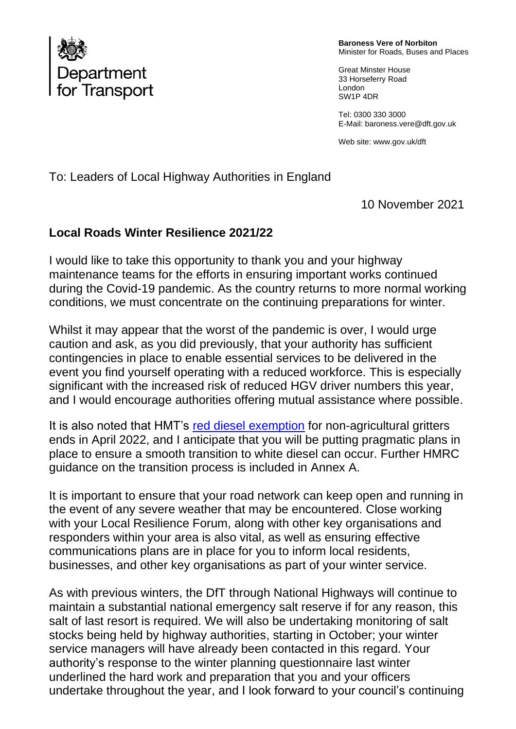

**Baroness Vere of Norbiton** Minister for Roads, Buses and Places

Great Minster House 33 Horseferry Road London SW1P 4DR

Tel: 0300 330 3000 E-Mail: baroness.vere@dft.gov.uk

Web site[: www.gov.](http://www.gov/)uk/dft

To: Leaders of Local Highway Authorities in England

10 November 2021

## **Local Roads Winter Resilience 2021/22**

I would like to take this opportunity to thank you and your highway maintenance teams for the efforts in ensuring important works continued during the Covid-19 pandemic. As the country returns to more normal working conditions, we must concentrate on the continuing preparations for winter.

Whilst it may appear that the worst of the pandemic is over, I would urge caution and ask, as you did previously, that your authority has sufficient contingencies in place to enable essential services to be delivered in the event you find yourself operating with a reduced workforce. This is especially significant with the increased risk of reduced HGV driver numbers this year, and I would encourage authorities offering mutual assistance where possible.

It is also noted that HMT's [red diesel exemption](https://assets.publishing.service.gov.uk/government/uploads/system/uploads/attachment_data/file/899174/Consultation_on_reforms_to_the_tax_treatment_of_red_diesel_and_other_rebated_fuels.pdf) for non-agricultural gritters ends in April 2022, and I anticipate that you will be putting pragmatic plans in place to ensure a smooth transition to white diesel can occur. Further HMRC guidance on the transition process is included in Annex A.

It is important to ensure that your road network can keep open and running in the event of any severe weather that may be encountered. Close working with your Local Resilience Forum, along with other key organisations and responders within your area is also vital, as well as ensuring effective communications plans are in place for you to inform local residents, businesses, and other key organisations as part of your winter service.

As with previous winters, the DfT through National Highways will continue to maintain a substantial national emergency salt reserve if for any reason, this salt of last resort is required. We will also be undertaking monitoring of salt stocks being held by highway authorities, starting in October; your winter service managers will have already been contacted in this regard. Your authority's response to the winter planning questionnaire last winter underlined the hard work and preparation that you and your officers undertake throughout the year, and I look forward to your council's continuing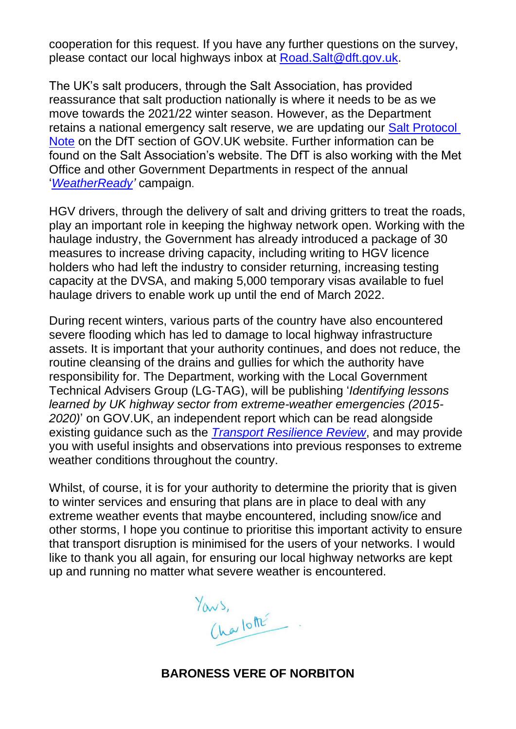cooperation for this request. If you have any further questions on the survey, please contact our local highways inbox at [Road.Salt@dft.gov.uk.](mailto:Road.Salt@dft.gov.uk)

The UK's salt producers, through the Salt Association, has provided reassurance that salt production nationally is where it needs to be as we move towards the 2021/22 winter season. However, as the Department retains a national emergency salt reserve, we are updating our [Salt Protocol](https://www.gov.uk/government/publications/strategic-salt-protocol)  [Note](https://www.gov.uk/government/publications/strategic-salt-protocol) on the DfT section of GOV.UK website. Further information can be found on the Salt Association's website. The DfT is also working with the Met Office and other Government Departments in respect of the annual '*[WeatherReady'](https://www.metoffice.gov.uk/weather/warnings-and-advice/weatherready/about-weatherready)* campaign.

HGV drivers, through the delivery of salt and driving gritters to treat the roads, play an important role in keeping the highway network open. Working with the haulage industry, the Government has already introduced a package of 30 measures to increase driving capacity, including writing to HGV licence holders who had left the industry to consider returning, increasing testing capacity at the DVSA, and making 5,000 temporary visas available to fuel haulage drivers to enable work up until the end of March 2022.

During recent winters, various parts of the country have also encountered severe flooding which has led to damage to local highway infrastructure assets. It is important that your authority continues, and does not reduce, the routine cleansing of the drains and gullies for which the authority have responsibility for. The Department, working with the Local Government Technical Advisers Group (LG-TAG), will be publishing '*Identifying lessons learned by UK highway sector from extreme-weather emergencies (2015- 2020)*' on GOV.UK, an independent report which can be read alongside existing guidance such as the *[Transport Resilience Review](https://assets.publishing.service.gov.uk/government/uploads/system/uploads/attachment_data/file/335115/transport-resilience-review-web.pdf)*, and may provide you with useful insights and observations into previous responses to extreme weather conditions throughout the country.

Whilst, of course, it is for your authority to determine the priority that is given to winter services and ensuring that plans are in place to deal with any extreme weather events that maybe encountered, including snow/ice and other storms, I hope you continue to prioritise this important activity to ensure that transport disruption is minimised for the users of your networks. I would like to thank you all again, for ensuring our local highway networks are kept up and running no matter what severe weather is encountered.

Yous,<br>Charlotte

## **BARONESS VERE OF NORBITON**